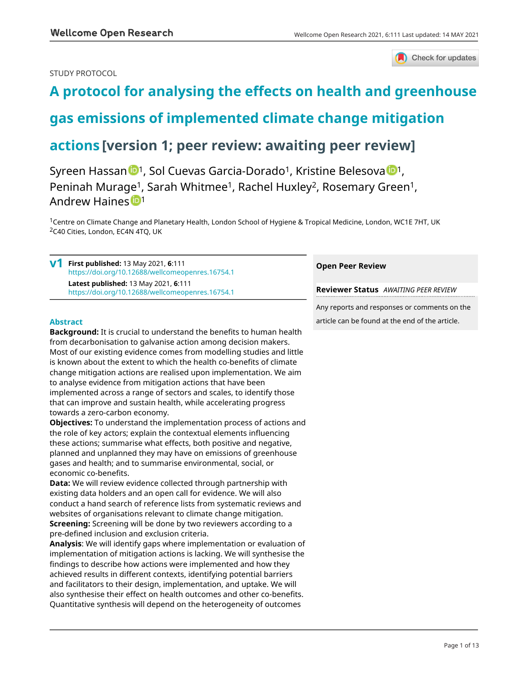Check for updates

## STUDY PROTOCOL

# **[A protocol for analysing the effects on health and greenhouse](https://wellcomeopenresearch.org/articles/6-111/v1)**

## **[gas emissions of implemented climate change mitigation](https://wellcomeopenresearch.org/articles/6-111/v1)**

## **[actions](https://wellcomeopenresearch.org/articles/6-111/v1) [version 1; peer review: awaiting peer review]**

Syreen Hassan **D**<sup>[1](https://orcid.org/0000-0002-6160-5041)</sup>, Sol Cuevas Garcia-Dorado<sup>1</sup>, Kristine Belesova D<sup>1</sup>, Peninah Murage<sup>1</sup>, Sarah Whitmee<sup>1</sup>, Rachel Huxley<sup>2</sup>, Rosemary Green<sup>1</sup>, Andrew Haines **in**<sup>[1](https://orcid.org/0000-0002-8053-4605)</sup>

<sup>1</sup>Centre on Climate Change and Planetary Health, London School of Hygiene & Tropical Medicine, London, WC1E 7HT, UK <sup>2</sup>C40 Cities, London, EC4N 4TQ, UK

**First published:** 13 May 2021, **6**:111 **v1** <https://doi.org/10.12688/wellcomeopenres.16754.1> **Latest published:** 13 May 2021, **6**:111 <https://doi.org/10.12688/wellcomeopenres.16754.1>

## **Abstract**

**Background:** It is crucial to understand the benefits to human health from decarbonisation to galvanise action among decision makers. Most of our existing evidence comes from modelling studies and little is known about the extent to which the health co-benefits of climate change mitigation actions are realised upon implementation. We aim to analyse evidence from mitigation actions that have been implemented across a range of sectors and scales, to identify those that can improve and sustain health, while accelerating progress towards a zero-carbon economy.

**Objectives:** To understand the implementation process of actions and the role of key actors; explain the contextual elements influencing these actions; summarise what effects, both positive and negative, planned and unplanned they may have on emissions of greenhouse gases and health; and to summarise environmental, social, or economic co-benefits.

**Data:** We will review evidence collected through partnership with existing data holders and an open call for evidence. We will also conduct a hand search of reference lists from systematic reviews and websites of organisations relevant to climate change mitigation. **Screening:** Screening will be done by two reviewers according to a pre-defined inclusion and exclusion criteria.

**Analysis**: We will identify gaps where implementation or evaluation of implementation of mitigation actions is lacking. We will synthesise the findings to describe how actions were implemented and how they achieved results in different contexts, identifying potential barriers and facilitators to their design, implementation, and uptake. We will also synthesise their effect on health outcomes and other co-benefits. Quantitative synthesis will depend on the heterogeneity of outcomes

## **Open Peer Review**

**Reviewer Status** *AWAITING PEER REVIEW* Any reports and responses or comments on the article can be found at the end of the article.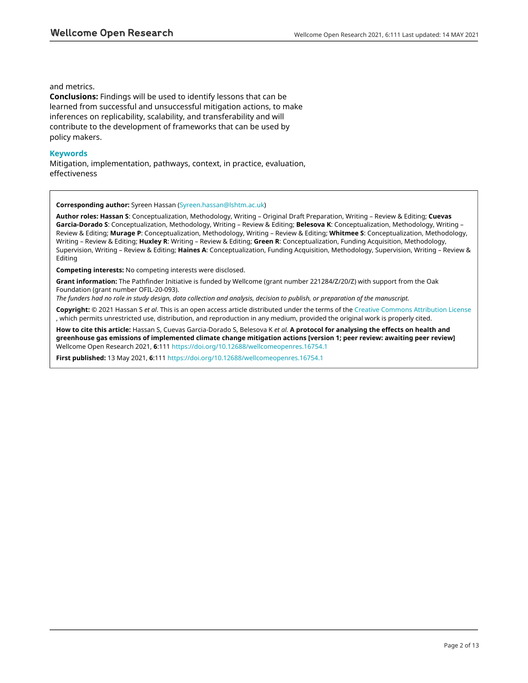## and metrics.

**Conclusions:** Findings will be used to identify lessons that can be learned from successful and unsuccessful mitigation actions, to make inferences on replicability, scalability, and transferability and will contribute to the development of frameworks that can be used by policy makers.

## **Keywords**

Mitigation, implementation, pathways, context, in practice, evaluation, effectiveness

**Corresponding author:** Syreen Hassan [\(Syreen.hassan@lshtm.ac.uk](mailto:Syreen.hassan@lshtm.ac.uk))

**Author roles: Hassan S**: Conceptualization, Methodology, Writing – Original Draft Preparation, Writing – Review & Editing; **Cuevas Garcia-Dorado S**: Conceptualization, Methodology, Writing – Review & Editing; **Belesova K**: Conceptualization, Methodology, Writing – Review & Editing; **Murage P**: Conceptualization, Methodology, Writing – Review & Editing; **Whitmee S**: Conceptualization, Methodology, Writing – Review & Editing; **Huxley R**: Writing – Review & Editing; **Green R**: Conceptualization, Funding Acquisition, Methodology, Supervision, Writing – Review & Editing; **Haines A**: Conceptualization, Funding Acquisition, Methodology, Supervision, Writing – Review & Editing

**Competing interests:** No competing interests were disclosed.

**Grant information:** The Pathfinder Initiative is funded by Wellcome (grant number 221284/Z/20/Z) with support from the Oak Foundation (grant number OFIL-20-093).

*The funders had no role in study design, data collection and analysis, decision to publish, or preparation of the manuscript.*

**Copyright:** © 2021 Hassan S *et al*. This is an open access article distributed under the terms of the [Creative Commons Attribution License](http://creativecommons.org/licenses/by/4.0/) , which permits unrestricted use, distribution, and reproduction in any medium, provided the original work is properly cited.

**How to cite this article:** Hassan S, Cuevas Garcia-Dorado S, Belesova K *et al.* **A protocol for analysing the effects on health and greenhouse gas emissions of implemented climate change mitigation actions [version 1; peer review: awaiting peer review]** Wellcome Open Research 2021, **6**:111<https://doi.org/10.12688/wellcomeopenres.16754.1>

**First published:** 13 May 2021, **6**:111<https://doi.org/10.12688/wellcomeopenres.16754.1>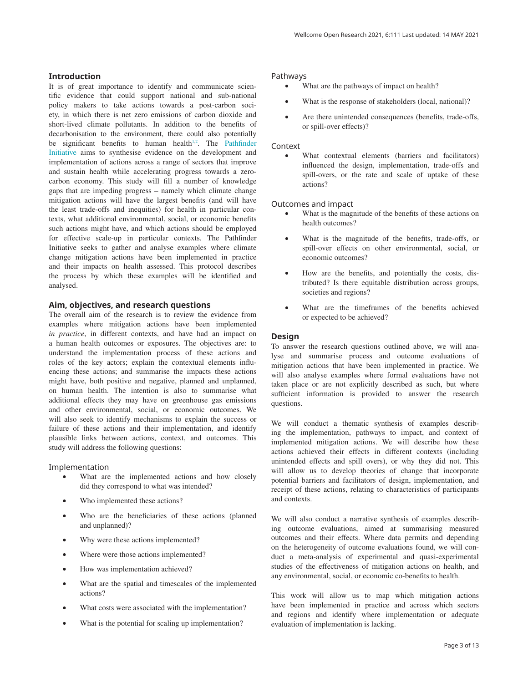## **Introduction**

It is of great importance to identify and communicate scientific evidence that could support national and sub-national policy makers to take actions towards a post-carbon society, in which there is net zero emissions of carbon dioxide and short-lived climate pollutants. In addition to the benefits of decarbonisation to the environment, there could also potentially be significant benefits to human health<sup>[1,2](#page-11-0)</sup>. The Pathfinder [Initiative](https://www.lshtm.ac.uk/research/centres-projects-groups/pathfinder-initiative)) aims to synthesise evidence on the development and implementation of actions across a range of sectors that improve and sustain health while accelerating progress towards a zerocarbon economy. This study will fill a number of knowledge gaps that are impeding progress – namely which climate change mitigation actions will have the largest benefits (and will have the least trade-offs and inequities) for health in particular contexts, what additional environmental, social, or economic benefits such actions might have, and which actions should be employed for effective scale-up in particular contexts. The Pathfinder Initiative seeks to gather and analyse examples where climate change mitigation actions have been implemented in practice and their impacts on health assessed. This protocol describes the process by which these examples will be identified and analysed.

### **Aim, objectives, and research questions**

The overall aim of the research is to review the evidence from examples where mitigation actions have been implemented *in practice*, in different contexts, and have had an impact on a human health outcomes or exposures. The objectives are: to understand the implementation process of these actions and roles of the key actors; explain the contextual elements influencing these actions; and summarise the impacts these actions might have, both positive and negative, planned and unplanned, on human health. The intention is also to summarise what additional effects they may have on greenhouse gas emissions and other environmental, social, or economic outcomes. We will also seek to identify mechanisms to explain the success or failure of these actions and their implementation, and identify plausible links between actions, context, and outcomes. This study will address the following questions:

#### Implementation

- What are the implemented actions and how closely did they correspond to what was intended?
- Who implemented these actions?
- · Who are the beneficiaries of these actions (planned and unplanned)?
- Why were these actions implemented?
- Where were those actions implemented?
- How was implementation achieved?
- What are the spatial and timescales of the implemented actions?
- What costs were associated with the implementation?
- What is the potential for scaling up implementation?

#### Pathways

- What are the pathways of impact on health?
- What is the response of stakeholders (local, national)?
- Are there unintended consequences (benefits, trade-offs, or spill-over effects)?

#### Context

What contextual elements (barriers and facilitators) influenced the design, implementation, trade-offs and spill-overs, or the rate and scale of uptake of these actions?

#### Outcomes and impact

- What is the magnitude of the benefits of these actions on health outcomes?
- What is the magnitude of the benefits, trade-offs, or spill-over effects on other environmental, social, or economic outcomes?
- How are the benefits, and potentially the costs, distributed? Is there equitable distribution across groups, societies and regions?
- What are the timeframes of the benefits achieved or expected to be achieved?

#### **Design**

To answer the research questions outlined above, we will analyse and summarise process and outcome evaluations of mitigation actions that have been implemented in practice. We will also analyse examples where formal evaluations have not taken place or are not explicitly described as such, but where sufficient information is provided to answer the research questions.

We will conduct a thematic synthesis of examples describing the implementation, pathways to impact, and context of implemented mitigation actions. We will describe how these actions achieved their effects in different contexts (including unintended effects and spill overs), or why they did not. This will allow us to develop theories of change that incorporate potential barriers and facilitators of design, implementation, and receipt of these actions, relating to characteristics of participants and contexts.

We will also conduct a narrative synthesis of examples describing outcome evaluations, aimed at summarising measured outcomes and their effects. Where data permits and depending on the heterogeneity of outcome evaluations found, we will conduct a meta-analysis of experimental and quasi-experimental studies of the effectiveness of mitigation actions on health, and any environmental, social, or economic co-benefits to health.

This work will allow us to map which mitigation actions have been implemented in practice and across which sectors and regions and identify where implementation or adequate evaluation of implementation is lacking.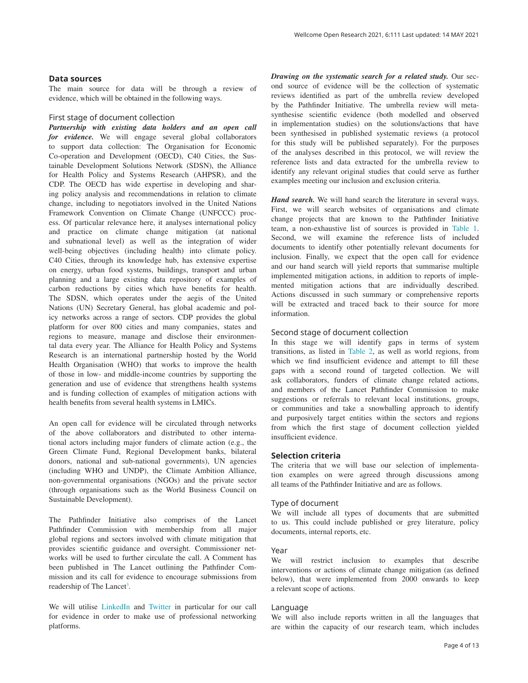#### **Data sources**

The main source for data will be through a review of evidence, which will be obtained in the following ways.

#### First stage of document collection

*Partnership with existing data holders and an open call for evidence.* We will engage several global collaborators to support data collection: The Organisation for Economic Co-operation and Development (OECD), C40 Cities, the Sustainable Development Solutions Network (SDSN), the Alliance for Health Policy and Systems Research (AHPSR), and the CDP. The OECD has wide expertise in developing and sharing policy analysis and recommendations in relation to climate change, including to negotiators involved in the United Nations Framework Convention on Climate Change (UNFCCC) process. Of particular relevance here, it analyses international policy and practice on climate change mitigation (at national and subnational level) as well as the integration of wider well-being objectives (including health) into climate policy. C40 Cities, through its knowledge hub, has extensive expertise on energy, urban food systems, buildings, transport and urban planning and a large existing data repository of examples of carbon reductions by cities which have benefits for health. The SDSN, which operates under the aegis of the United Nations (UN) Secretary General, has global academic and policy networks across a range of sectors. CDP provides the global platform for over 800 cities and many companies, states and regions to measure, manage and disclose their environmental data every year. The Alliance for Health Policy and Systems Research is an international partnership hosted by the World Health Organisation (WHO) that works to improve the health of those in low- and middle-income countries by supporting the generation and use of evidence that strengthens health systems and is funding collection of examples of mitigation actions with health benefits from several health systems in LMICs.

An open call for evidence will be circulated through networks of the above collaborators and distributed to other international actors including major funders of climate action (e.g., the Green Climate Fund, Regional Development banks, bilateral donors, national and sub-national governments), UN agencies (including WHO and UNDP), the Climate Ambition Alliance, non-governmental organisations (NGOs) and the private sector (through organisations such as the World Business Council on Sustainable Development).

The Pathfinder Initiative also comprises of the Lancet Pathfinder Commission with membership from all major global regions and sectors involved with climate mitigation that provides scientific guidance and oversight. Commissioner networks will be used to further circulate the call. A Comment has been published in The Lancet outlining the Pathfinder Commission and its call for evidence to encourage submissions from readership of The Lancet<sup>[3](#page-11-0)</sup>.

We will utilise [LinkedIn](https://www.linkedin.com/) and [Twitter](https://twitter.com/?lang=en-gb) in particular for our call for evidence in order to make use of professional networking platforms.

*Drawing on the systematic search for a related study.* Our second source of evidence will be the collection of systematic reviews identified as part of the umbrella review developed by the Pathfinder Initiative. The umbrella review will metasynthesise scientific evidence (both modelled and observed in implementation studies) on the solutions/actions that have been synthesised in published systematic reviews (a protocol for this study will be published separately). For the purposes of the analyses described in this protocol, we will review the reference lists and data extracted for the umbrella review to identify any relevant original studies that could serve as further examples meeting our inclusion and exclusion criteria.

*Hand search.* We will hand search the literature in several ways. First, we will search websites of organisations and climate change projects that are known to the Pathfinder Initiative team, a non-exhaustive list of sources is provided in [Table 1](#page-4-0). Second, we will examine the reference lists of included documents to identify other potentially relevant documents for inclusion. Finally, we expect that the open call for evidence and our hand search will yield reports that summarise multiple implemented mitigation actions, in addition to reports of implemented mitigation actions that are individually described. Actions discussed in such summary or comprehensive reports will be extracted and traced back to their source for more information.

#### Second stage of document collection

In this stage we will identify gaps in terms of system transitions, as listed in [Table 2](#page-4-0), as well as world regions, from which we find insufficient evidence and attempt to fill these gaps with a second round of targeted collection. We will ask collaborators, funders of climate change related actions, and members of the Lancet Pathfinder Commission to make suggestions or referrals to relevant local institutions, groups, or communities and take a snowballing approach to identify and purposively target entities within the sectors and regions from which the first stage of document collection yielded insufficient evidence.

### **Selection criteria**

The criteria that we will base our selection of implementation examples on were agreed through discussions among all teams of the Pathfinder Initiative and are as follows.

#### Type of document

We will include all types of documents that are submitted to us. This could include published or grey literature, policy documents, internal reports, etc.

#### Year

We will restrict inclusion to examples that describe interventions or actions of climate change mitigation (as defined below), that were implemented from 2000 onwards to keep a relevant scope of actions.

#### Language

We will also include reports written in all the languages that are within the capacity of our research team, which includes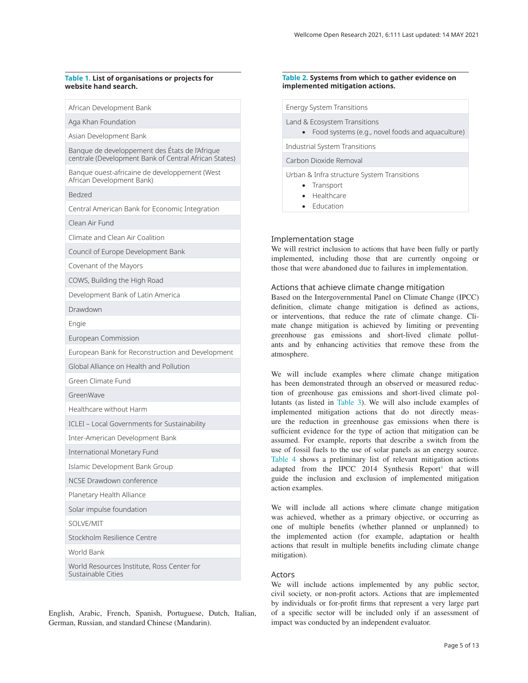#### <span id="page-4-0"></span>**Table 1. List of organisations or projects for website hand search.**

African Development Bank

Aga Khan Foundation

Asian Development Bank

Banque de developpement des États de l'Afrique centrale (Development Bank of Central African States)

Banque ouest-africaine de developpement (West African Development Bank)

Bedzed

Central American Bank for Economic Integration

Clean Air Fund

Climate and Clean Air Coalition

Council of Europe Development Bank

Covenant of the Mayors

COWS, Building the High Road

Development Bank of Latin America

Drawdown

Engie

European Commission

European Bank for Reconstruction and Development

Global Alliance on Health and Pollution

Green Climate Fund

GreenWave

Healthcare without Harm

ICLEI – Local Governments for Sustainability

Inter-American Development Bank

International Monetary Fund

Islamic Development Bank Group

NCSE Drawdown conference

Planetary Health Alliance

Solar impulse foundation

SOLVE/MIT

Stockholm Resilience Centre

World Bank

World Resources Institute, Ross Center for Sustainable Cities

#### English, Arabic, French, Spanish, Portuguese, Dutch, Italian, German, Russian, and standard Chinese (Mandarin).

#### **Table 2. Systems from which to gather evidence on implemented mitigation actions.**

Energy System Transitions

Land & Ecosystem Transitions

• Food systems (e.g., novel foods and aquaculture)

Industrial System Transitions

Carbon Dioxide Removal

Urban & Infra structure System Transitions

- Transport
- Healthcare
- Education

#### Implementation stage

We will restrict inclusion to actions that have been fully or partly implemented, including those that are currently ongoing or those that were abandoned due to failures in implementation.

#### Actions that achieve climate change mitigation

Based on the Intergovernmental Panel on Climate Change (IPCC) definition, climate change mitigation is defined as actions, or interventions, that reduce the rate of climate change. Climate change mitigation is achieved by limiting or preventing greenhouse gas emissions and short-lived climate pollutants and by enhancing activities that remove these from the atmosphere.

We will include examples where climate change mitigation has been demonstrated through an observed or measured reduction of greenhouse gas emissions and short-lived climate pollutants (as listed in [Table 3](#page-5-0)). We will also include examples of implemented mitigation actions that do not directly measure the reduction in greenhouse gas emissions when there is sufficient evidence for the type of action that mitigation can be assumed. For example, reports that describe a switch from the use of fossil fuels to the use of solar panels as an energy source. [Table 4](#page-6-0) shows a preliminary list of relevant mitigation actions adapted from the IPCC 2014 Synthesis Report<sup>4</sup> that will guide the inclusion and exclusion of implemented mitigation action examples.

We will include all actions where climate change mitigation was achieved, whether as a primary objective, or occurring as one of multiple benefits (whether planned or unplanned) to the implemented action (for example, adaptation or health actions that result in multiple benefits including climate change mitigation).

#### Actors

We will include actions implemented by any public sector, civil society, or non-profit actors. Actions that are implemented by individuals or for-profit firms that represent a very large part of a specific sector will be included only if an assessment of impact was conducted by an independent evaluator.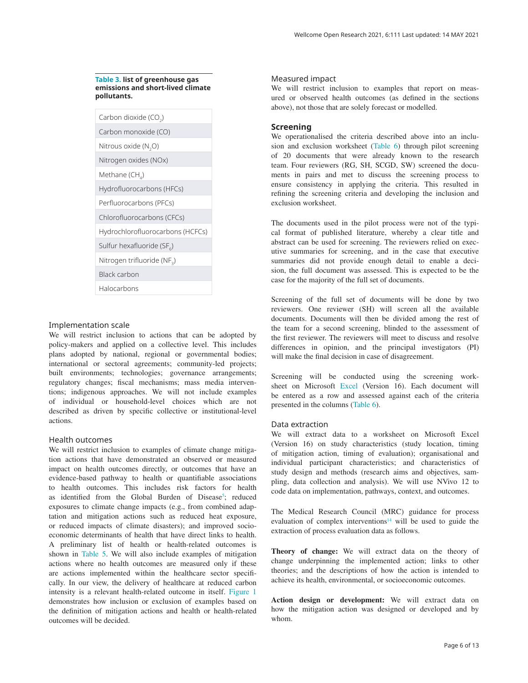#### <span id="page-5-0"></span>**Table 3. list of greenhouse gas emissions and short-lived climate pollutants.**



#### Implementation scale

We will restrict inclusion to actions that can be adopted by policy-makers and applied on a collective level. This includes plans adopted by national, regional or governmental bodies; international or sectoral agreements; community-led projects; built environments; technologies; governance arrangements; regulatory changes; fiscal mechanisms; mass media interventions; indigenous approaches. We will not include examples of individual or household-level choices which are not described as driven by specific collective or institutional-level actions.

## Health outcomes

We will restrict inclusion to examples of climate change mitigation actions that have demonstrated an observed or measured impact on health outcomes directly, or outcomes that have an evidence-based pathway to health or quantifiable associations to health outcomes. This includes risk factors for health as identified from the Global Burden of Disease<sup>[5](#page-11-0)</sup>; reduced exposures to climate change impacts (e.g., from combined adaptation and mitigation actions such as reduced heat exposure, or reduced impacts of climate disasters); and improved socioeconomic determinants of health that have direct links to health. A preliminary list of health or health-related outcomes is shown in [Table 5.](#page-7-0) We will also include examples of mitigation actions where no health outcomes are measured only if these are actions implemented within the healthcare sector specifically. In our view, the delivery of healthcare at reduced carbon intensity is a relevant health-related outcome in itself. [Figure 1](#page-8-0) demonstrates how inclusion or exclusion of examples based on the definition of mitigation actions and health or health-related outcomes will be decided.

#### Measured impact

We will restrict inclusion to examples that report on measured or observed health outcomes (as defined in the sections above), not those that are solely forecast or modelled.

#### **Screening**

We operationalised the criteria described above into an inclusion and exclusion worksheet [\(Table 6](#page-9-0)) through pilot screening of 20 documents that were already known to the research team. Four reviewers (RG, SH, SCGD, SW) screened the documents in pairs and met to discuss the screening process to ensure consistency in applying the criteria. This resulted in refining the screening criteria and developing the inclusion and exclusion worksheet.

The documents used in the pilot process were not of the typical format of published literature, whereby a clear title and abstract can be used for screening. The reviewers relied on executive summaries for screening, and in the case that executive summaries did not provide enough detail to enable a decision, the full document was assessed. This is expected to be the case for the majority of the full set of documents.

Screening of the full set of documents will be done by two reviewers. One reviewer (SH) will screen all the available documents. Documents will then be divided among the rest of the team for a second screening, blinded to the assessment of the first reviewer. The reviewers will meet to discuss and resolve differences in opinion, and the principal investigators (PI) will make the final decision in case of disagreement.

Screening will be conducted using the screening worksheet on Microsoft [Excel](https://www.microsoft.com/en-gb/microsoft-365/excel) (Version 16). Each document will be entered as a row and assessed against each of the criteria presented in the columns ([Table 6](#page-9-0)).

#### Data extraction

We will extract data to a worksheet on Microsoft Excel (Version 16) on study characteristics (study location, timing of mitigation action, timing of evaluation); organisational and individual participant characteristics; and characteristics of study design and methods (research aims and objectives, sampling, data collection and analysis). We will use NVivo 12 to code data on implementation, pathways, context, and outcomes.

The Medical Research Council (MRC) guidance for process evaluation of complex interventions<sup>14</sup> will be used to guide the extraction of process evaluation data as follows.

**Theory of change:** We will extract data on the theory of change underpinning the implemented action; links to other theories; and the descriptions of how the action is intended to achieve its health, environmental, or socioeconomic outcomes.

**Action design or development:** We will extract data on how the mitigation action was designed or developed and by whom.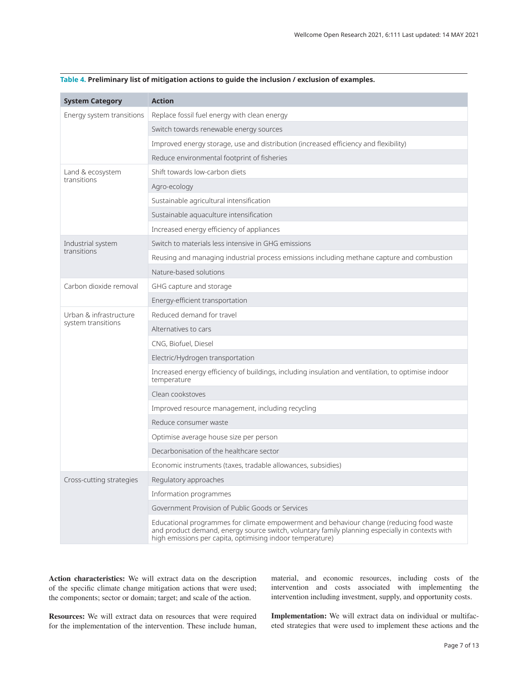| <b>System Category</b>           | <b>Action</b>                                                                                                                                                                                                                                            |
|----------------------------------|----------------------------------------------------------------------------------------------------------------------------------------------------------------------------------------------------------------------------------------------------------|
| Energy system transitions        | Replace fossil fuel energy with clean energy                                                                                                                                                                                                             |
|                                  | Switch towards renewable energy sources                                                                                                                                                                                                                  |
|                                  | Improved energy storage, use and distribution (increased efficiency and flexibility)                                                                                                                                                                     |
|                                  | Reduce environmental footprint of fisheries                                                                                                                                                                                                              |
| Land & ecosystem                 | Shift towards low-carbon diets                                                                                                                                                                                                                           |
| transitions                      | Agro-ecology                                                                                                                                                                                                                                             |
|                                  | Sustainable agricultural intensification                                                                                                                                                                                                                 |
|                                  | Sustainable aquaculture intensification                                                                                                                                                                                                                  |
|                                  | Increased energy efficiency of appliances                                                                                                                                                                                                                |
| Industrial system<br>transitions | Switch to materials less intensive in GHG emissions                                                                                                                                                                                                      |
|                                  | Reusing and managing industrial process emissions including methane capture and combustion                                                                                                                                                               |
|                                  | Nature-based solutions                                                                                                                                                                                                                                   |
| Carbon dioxide removal           | GHG capture and storage                                                                                                                                                                                                                                  |
|                                  | Energy-efficient transportation                                                                                                                                                                                                                          |
| Urban & infrastructure           | Reduced demand for travel                                                                                                                                                                                                                                |
| system transitions               | Alternatives to cars                                                                                                                                                                                                                                     |
|                                  | CNG, Biofuel, Diesel                                                                                                                                                                                                                                     |
|                                  | Electric/Hydrogen transportation                                                                                                                                                                                                                         |
|                                  | Increased energy efficiency of buildings, including insulation and ventilation, to optimise indoor<br>temperature                                                                                                                                        |
|                                  | Clean cookstoves                                                                                                                                                                                                                                         |
|                                  | Improved resource management, including recycling                                                                                                                                                                                                        |
|                                  | Reduce consumer waste                                                                                                                                                                                                                                    |
|                                  | Optimise average house size per person                                                                                                                                                                                                                   |
|                                  | Decarbonisation of the healthcare sector                                                                                                                                                                                                                 |
|                                  | Economic instruments (taxes, tradable allowances, subsidies)                                                                                                                                                                                             |
| Cross-cutting strategies         | Regulatory approaches                                                                                                                                                                                                                                    |
|                                  | Information programmes                                                                                                                                                                                                                                   |
|                                  | Government Provision of Public Goods or Services                                                                                                                                                                                                         |
|                                  | Educational programmes for climate empowerment and behaviour change (reducing food waste<br>and product demand, energy source switch, voluntary family planning especially in contexts with<br>high emissions per capita, optimising indoor temperature) |

<span id="page-6-0"></span>**Table 4. Preliminary list of mitigation actions to guide the inclusion / exclusion of examples.**

**Action characteristics:** We will extract data on the description of the specific climate change mitigation actions that were used; the components; sector or domain; target; and scale of the action.

material, and economic resources, including costs of the intervention and costs associated with implementing the intervention including investment, supply, and opportunity costs.

**Resources:** We will extract data on resources that were required for the implementation of the intervention. These include human,

**Implementation:** We will extract data on individual or multifaceted strategies that were used to implement these actions and the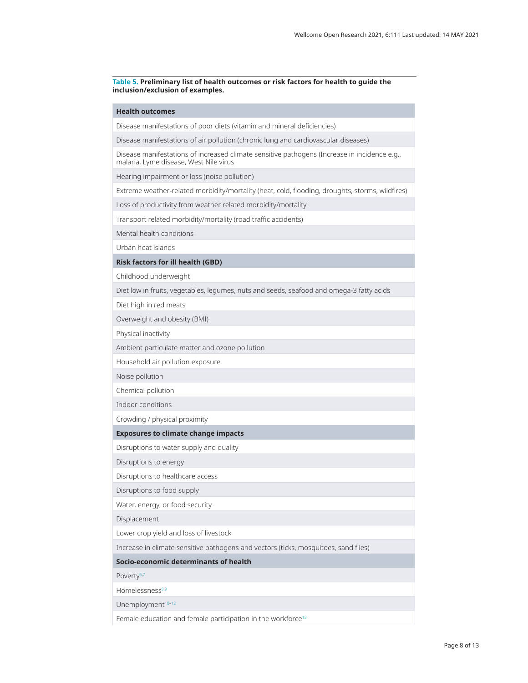#### <span id="page-7-0"></span>**Table 5. Preliminary list of health outcomes or risk factors for health to guide the inclusion/exclusion of examples.**

## **Health outcomes** Disease manifestations of poor diets (vitamin and mineral deficiencies) Disease manifestations of air pollution (chronic lung and cardiovascular diseases) Disease manifestations of increased climate sensitive pathogens (Increase in incidence e.g., malaria, Lyme disease, West Nile virus Hearing impairment or loss (noise pollution) Extreme weather-related morbidity/mortality (heat, cold, flooding, droughts, storms, wildfires) Loss of productivity from weather related morbidity/mortality Transport related morbidity/mortality (road traffic accidents) Mental health conditions Urban heat islands **Risk factors for ill health (GBD)** Childhood underweight Diet low in fruits, vegetables, legumes, nuts and seeds, seafood and omega-3 fatty acids Diet high in red meats Overweight and obesity (BMI) Physical inactivity Ambient particulate matter and ozone pollution Household air pollution exposure Noise pollution Chemical pollution Indoor conditions Crowding / physical proximity **Exposures to climate change impacts** Disruptions to water supply and quality Disruptions to energy Disruptions to healthcare access Disruptions to food supply Water, energy, or food security Displacement Lower crop yield and loss of livestock Increase in climate sensitive pathogens and vectors (ticks, mosquitoes, sand flies) **Socio-economic determinants of health** Poverty<sup>[6,7](#page-11-0)</sup> Homelessness<sup>8,9</sup> Unemployment<sup>10-12</sup> Female education and female participation in the workforce<sup>13</sup>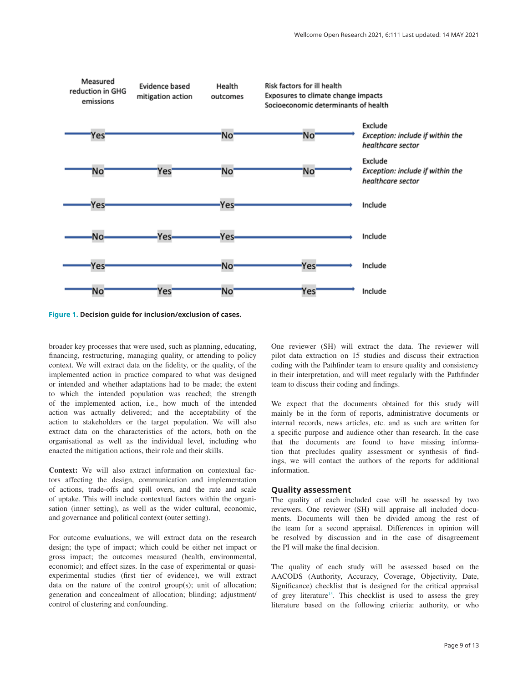<span id="page-8-0"></span>

**Figure 1. Decision guide for inclusion/exclusion of cases.**

broader key processes that were used, such as planning, educating, financing, restructuring, managing quality, or attending to policy context. We will extract data on the fidelity, or the quality, of the implemented action in practice compared to what was designed or intended and whether adaptations had to be made; the extent to which the intended population was reached; the strength of the implemented action, i.e., how much of the intended action was actually delivered; and the acceptability of the action to stakeholders or the target population. We will also extract data on the characteristics of the actors, both on the organisational as well as the individual level, including who enacted the mitigation actions, their role and their skills.

**Context:** We will also extract information on contextual factors affecting the design, communication and implementation of actions, trade-offs and spill overs, and the rate and scale of uptake. This will include contextual factors within the organisation (inner setting), as well as the wider cultural, economic, and governance and political context (outer setting).

For outcome evaluations, we will extract data on the research design; the type of impact; which could be either net impact or gross impact; the outcomes measured (health, environmental, economic); and effect sizes. In the case of experimental or quasiexperimental studies (first tier of evidence), we will extract data on the nature of the control group(s); unit of allocation; generation and concealment of allocation; blinding; adjustment/ control of clustering and confounding.

One reviewer (SH) will extract the data. The reviewer will pilot data extraction on 15 studies and discuss their extraction coding with the Pathfinder team to ensure quality and consistency in their interpretation, and will meet regularly with the Pathfinder team to discuss their coding and findings.

We expect that the documents obtained for this study will mainly be in the form of reports, administrative documents or internal records, news articles, etc. and as such are written for a specific purpose and audience other than research. In the case that the documents are found to have missing information that precludes quality assessment or synthesis of findings, we will contact the authors of the reports for additional information.

### **Quality assessment**

The quality of each included case will be assessed by two reviewers. One reviewer (SH) will appraise all included documents. Documents will then be divided among the rest of the team for a second appraisal. Differences in opinion will be resolved by discussion and in the case of disagreement the PI will make the final decision.

The quality of each study will be assessed based on the AACODS (Authority, Accuracy, Coverage, Objectivity, Date, Significance) checklist that is designed for the critical appraisal of grey literature<sup>[15](#page-12-0)</sup>. This checklist is used to assess the grey literature based on the following criteria: authority, or who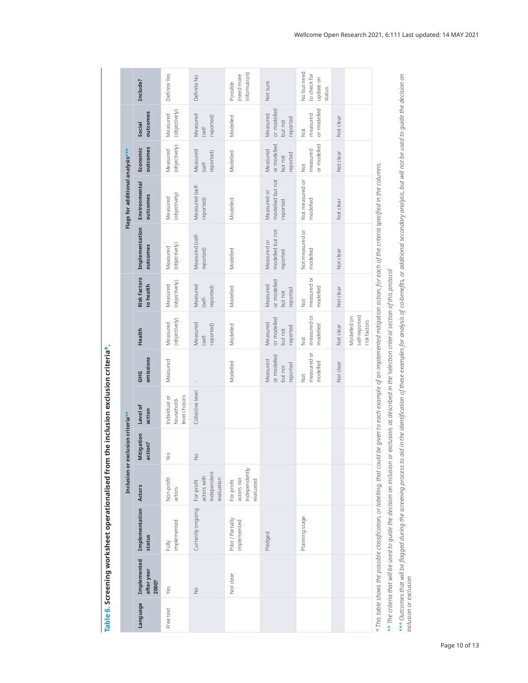<span id="page-9-0"></span>

|           |                                    |                                                                                                                                                                                                                                                                                                                                                   |                                                        | Inclusion or exclusion criteria** |                                             |                                                |                                                |                                                |                                             | Flags for additional analysis***            |                                                               |                                                |                                                    |
|-----------|------------------------------------|---------------------------------------------------------------------------------------------------------------------------------------------------------------------------------------------------------------------------------------------------------------------------------------------------------------------------------------------------|--------------------------------------------------------|-----------------------------------|---------------------------------------------|------------------------------------------------|------------------------------------------------|------------------------------------------------|---------------------------------------------|---------------------------------------------|---------------------------------------------------------------|------------------------------------------------|----------------------------------------------------|
| Language  | Implemented<br>after year<br>2000? | Implementation<br>status                                                                                                                                                                                                                                                                                                                          | <b>Actors</b>                                          | Mitigation<br>action?             | Level of<br>action                          | emissions<br>GHG                               | Health                                         | <b>Risk factors</b><br>to health               | Implementation<br>outcomes                  | Environmental<br>outcomes                   | outcomes<br>Economic                                          | outcomes<br>Social                             | Include?                                           |
| Free text | Yes                                | implemented<br>Fully                                                                                                                                                                                                                                                                                                                              | Non-profit<br>actors                                   | Yes                               | evel choices<br>Individual or<br>household- | Measured                                       | (objectively)<br>Measured                      | (objectively)<br>Measured                      | (objectively)<br>Measured                   | (objectively)<br>Measured                   | (objectively)<br>Measured                                     | (objectively)<br>Measured                      | Definite Yes                                       |
|           | $\frac{1}{2}$                      | Currently ongoing                                                                                                                                                                                                                                                                                                                                 | independent<br>actors with<br>evaluation<br>For-profit | $\frac{1}{2}$                     | Collective level                            | $\bar{1}$                                      | Measured<br>reported)<br>(self-                | Measured<br>reported)<br>self-                 | Measured (self-<br>reported)                | Measured (self-<br>reported)                | Measured<br>eported)<br>self-                                 | Measured<br>reported)<br>(self-                | Definite No                                        |
|           | Not clear                          | Pilot / Partially<br>implemented                                                                                                                                                                                                                                                                                                                  | independently<br>actors not<br>evaluated<br>For-profit |                                   |                                             | Modelled                                       | Modelled                                       | Modelled                                       | Modelled                                    | Modelled                                    | Modelled                                                      | Modelled                                       | information)<br>(need more<br>Possible             |
|           |                                    | Pledged                                                                                                                                                                                                                                                                                                                                           |                                                        |                                   |                                             | or modelled<br>Measured<br>reported<br>but not | or modelled<br>Measured<br>reported<br>but not | or modelled<br>Measured<br>reported<br>but not | modelled but not<br>Measured or<br>reported | modelled but not<br>Measured or<br>reported | or modelled<br>Measured<br>reported<br><b>but not</b>         | or modelled<br>Measured<br>reported<br>but not | Not sure                                           |
|           |                                    | Planning stage                                                                                                                                                                                                                                                                                                                                    |                                                        |                                   |                                             | measured or<br>modelled<br>$\frac{1}{2}$       | measured or<br>modelled<br>$\frac{1}{2}$       | measured or<br>modelled<br>$\breve{\Xi}$       | Not measured or<br>modelled                 | Not measured or<br>modelled                 | or modelled<br>measured<br>$\stackrel{\text{\tiny{t}}}{\geq}$ | or modelled<br>measured<br>$\breve{\Xi}$       | No but need<br>to check for<br>update on<br>status |
|           |                                    |                                                                                                                                                                                                                                                                                                                                                   |                                                        |                                   |                                             | Not clear                                      | Not clear                                      | Not clear                                      | Not clear                                   | Not clear                                   | Not clear                                                     | Not clear                                      |                                                    |
|           |                                    |                                                                                                                                                                                                                                                                                                                                                   |                                                        |                                   |                                             |                                                | self-reported<br>Modelled on<br>risk factors   |                                                |                                             |                                             |                                                               |                                                |                                                    |
|           |                                    | * This table shows the possible classification, or labelling, that could be given to each example of an implemented mitigation action, for each of the criteria specified in the columns.<br>** The criteria that will be used to guide the decision on inclusion or exclusion, as described in the 'selection criteria' section of this protocol |                                                        |                                   |                                             |                                                |                                                |                                                |                                             |                                             |                                                               |                                                |                                                    |

Table 6. Screening worksheet operationalised from the inclusion exclusion criteria\*. **Table 6. Screening worksheet operationalised from the inclusion exclusion criteria\*.**

\*\*\* Outcomes that will be flagged during the screening process to aid in the identification of these examples for analysis, or additional secondary analysis, but will not be used to guide the decision on<br>inclusion or exclu \*\*\*\* Outcomes that will be flagged during the screening process to aid in the identification of these examples for analysis or endetitional secondary analysis, but will not be used to quide the decision on *inclusion or exclusion*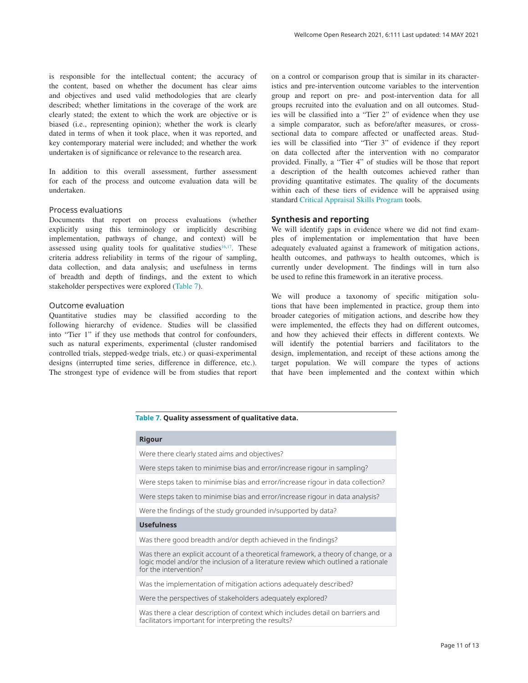is responsible for the intellectual content; the accuracy of the content, based on whether the document has clear aims and objectives and used valid methodologies that are clearly described; whether limitations in the coverage of the work are clearly stated; the extent to which the work are objective or is biased (i.e., representing opinion); whether the work is clearly dated in terms of when it took place, when it was reported, and key contemporary material were included; and whether the work undertaken is of significance or relevance to the research area.

In addition to this overall assessment, further assessment for each of the process and outcome evaluation data will be undertaken.

### Process evaluations

Documents that report on process evaluations (whether explicitly using this terminology or implicitly describing implementation, pathways of change, and context) will be assessed using quality tools for qualitative studies $16,17$ . These criteria address reliability in terms of the rigour of sampling, data collection, and data analysis; and usefulness in terms of breadth and depth of findings, and the extent to which stakeholder perspectives were explored (Table 7).

#### Outcome evaluation

Quantitative studies may be classified according to the following hierarchy of evidence. Studies will be classified into "Tier 1" if they use methods that control for confounders, such as natural experiments, experimental (cluster randomised controlled trials, stepped-wedge trials, etc.) or quasi-experimental designs (interrupted time series, difference in difference, etc.). The strongest type of evidence will be from studies that report on a control or comparison group that is similar in its characteristics and pre-intervention outcome variables to the intervention group and report on pre- and post-intervention data for all groups recruited into the evaluation and on all outcomes. Studies will be classified into a "Tier 2" of evidence when they use a simple comparator, such as before/after measures, or crosssectional data to compare affected or unaffected areas. Studies will be classified into "Tier 3" of evidence if they report on data collected after the intervention with no comparator provided. Finally, a "Tier 4" of studies will be those that report a description of the health outcomes achieved rather than providing quantitative estimates. The quality of the documents within each of these tiers of evidence will be appraised using standard [Critical Appraisal Skills Program](https://casp-uk.net/) tools.

### **Synthesis and reporting**

We will identify gaps in evidence where we did not find examples of implementation or implementation that have been adequately evaluated against a framework of mitigation actions, health outcomes, and pathways to health outcomes, which is currently under development. The findings will in turn also be used to refine this framework in an iterative process.

We will produce a taxonomy of specific mitigation solutions that have been implemented in practice, group them into broader categories of mitigation actions, and describe how they were implemented, the effects they had on different outcomes, and how they achieved their effects in different contexts. We will identify the potential barriers and facilitators to the design, implementation, and receipt of these actions among the target population. We will compare the types of actions that have been implemented and the context within which

## **Table 7. Quality assessment of qualitative data.**

| <b>Rigour</b>                                                                                                                                                                                     |  |
|---------------------------------------------------------------------------------------------------------------------------------------------------------------------------------------------------|--|
| Were there clearly stated aims and objectives?                                                                                                                                                    |  |
| Were steps taken to minimise bias and error/increase rigour in sampling?                                                                                                                          |  |
| Were steps taken to minimise bias and error/increase rigour in data collection?                                                                                                                   |  |
| Were steps taken to minimise bias and error/increase rigour in data analysis?                                                                                                                     |  |
| Were the findings of the study grounded in/supported by data?                                                                                                                                     |  |
| <b>Usefulness</b>                                                                                                                                                                                 |  |
| Was there good breadth and/or depth achieved in the findings?                                                                                                                                     |  |
| Was there an explicit account of a theoretical framework, a theory of change, or a<br>logic model and/or the inclusion of a literature review which outlined a rationale<br>for the intervention? |  |
| Was the implementation of mitigation actions adequately described?                                                                                                                                |  |
| Were the perspectives of stakeholders adequately explored?                                                                                                                                        |  |
| Was there a clear description of context which includes detail on barriers and<br>facilitators important for interpreting the results?                                                            |  |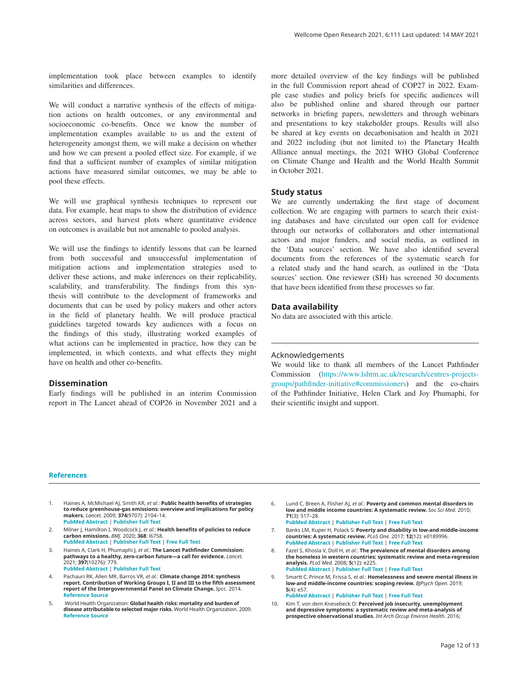<span id="page-11-0"></span>implementation took place between examples to identify similarities and differences.

We will conduct a narrative synthesis of the effects of mitigation actions on health outcomes, or any environmental and socioeconomic co-benefits. Once we know the number of implementation examples available to us and the extent of heterogeneity amongst them, we will make a decision on whether and how we can present a pooled effect size. For example, if we find that a sufficient number of examples of similar mitigation actions have measured similar outcomes, we may be able to pool these effects.

We will use graphical synthesis techniques to represent our data. For example, heat maps to show the distribution of evidence across sectors, and harvest plots where quantitative evidence on outcomes is available but not amenable to pooled analysis.

We will use the findings to identify lessons that can be learned from both successful and unsuccessful implementation of mitigation actions and implementation strategies used to deliver these actions, and make inferences on their replicability, scalability, and transferability. The findings from this synthesis will contribute to the development of frameworks and documents that can be used by policy makers and other actors in the field of planetary health. We will produce practical guidelines targeted towards key audiences with a focus on the findings of this study, illustrating worked examples of what actions can be implemented in practice, how they can be implemented, in which contexts, and what effects they might have on health and other co-benefits.

### **Dissemination**

Early findings will be published in an interim Commission report in The Lancet ahead of COP26 in November 2021 and a more detailed overview of the key findings will be published in the full Commission report ahead of COP27 in 2022. Example case studies and policy briefs for specific audiences will also be published online and shared through our partner networks in briefing papers, newsletters and through webinars and presentations to key stakeholder groups. Results will also be shared at key events on decarbonisation and health in 2021 and 2022 including (but not limited to) the Planetary Health Alliance annual meetings, the 2021 WHO Global Conference on Climate Change and Health and the World Health Summit in October 2021.

#### **Study status**

We are currently undertaking the first stage of document collection. We are engaging with partners to search their existing databases and have circulated our open call for evidence through our networks of collaborators and other international actors and major funders, and social media, as outlined in the 'Data sources' section. We have also identified several documents from the references of the systematic search for a related study and the hand search, as outlined in the 'Data sources' section. One reviewer (SH) has screened 30 documents that have been identified from these processes so far.

#### **Data availability**

No data are associated with this article.

#### Acknowledgements

We would like to thank all members of the Lancet Pathfinder Commission ([https://www.lshtm.ac.uk/research/centres-projects](https://www.lshtm.ac.uk/research/centres-projects-groups/pathfinder-initiative#commissioners)[groups/pathfinder-initiative#commissioners](https://www.lshtm.ac.uk/research/centres-projects-groups/pathfinder-initiative#commissioners)) and the co-chairs of the Pathfinder Initiative, Helen Clark and Joy Phumaphi, for their scientific insight and support.

#### **References**

- 1. Haines A, McMichael AJ, Smith KR, *et al.*: **Public health benefits of strategies to reduce greenhouse-gas emissions: overview and implications for policy makers.** *Lancet.* 2009; **374**(9707): 2104–14. **[PubMed Abstract](http://www.ncbi.nlm.nih.gov/pubmed/19942281)** | **[Publisher Full Text](http://dx.doi.org/10.1016/S0140-6736(09)61759-1)**
- 2. Milner J, Hamilton I, Woodcock J, *et al.*: **Health benefits of policies to reduce carbon emissions.** *BMJ.* 2020; **368**: l6758. **[PubMed Abstract](http://www.ncbi.nlm.nih.gov/pubmed/32229476)** | **[Publisher Full Text](http://dx.doi.org/10.1136/bmj.l6758)** | **[Free Full Text](http://www.ncbi.nlm.nih.gov/pmc/articles/7190375)**
- 3. Haines A, Clark H, Phumaphi J, *et al.*: **The Lancet Pathfinder Commission: pathways to a healthy, zero-carbon future—a call for evidence.** *Lancet.* 2021; **397**(10276): 779. **[PubMed Abstract](http://www.ncbi.nlm.nih.gov/pubmed/33640048)** | **[Publisher Full Text](http://dx.doi.org/10.1016/S0140-6736(21)00460-8)**
- 4. Pachauri RK, Allen MR, Barros VR, *et al.*: **Climate change 2014: synthesis report. Contribution of Working Groups I, II and III to the fifth assessment report of the Intergovernmental Panel on Climate Change.** Ipcc. 2014. **[Reference Source](https://research-repository.uwa.edu.au/en/publications/climate-change-2014-synthesis-report-contribution-of-working-grou)**
- 5. World Health Organization: **Global health risks: mortality and burden of disease attributable to selected major risks.** World Health Organization. 2009. **[Reference Source](https://apps.who.int/iris/handle/10665/44203)**
- 6. Lund C, Breen A, Flisher AJ, *et al.*: **Poverty and common mental disorders in low and middle income countries: A systematic review.** *Soc Sci Med.* 2010; **71**(3): 517–28.
	- **[PubMed Abstract](http://www.ncbi.nlm.nih.gov/pubmed/20621748)** | **[Publisher Full Text](http://dx.doi.org/10.1016/j.socscimed.2010.04.027)** | **[Free Full Text](http://www.ncbi.nlm.nih.gov/pmc/articles/4991761)** 7. Banks LM, Kuper H, Polack S: **Poverty and disability in low-and middle-income**
- **countries: A systematic review.** *PLoS One.* 2017; **12**(12): e0189996. **[PubMed Abstract](http://www.ncbi.nlm.nih.gov/pubmed/29267388)** | **[Publisher Full Text](http://dx.doi.org/10.1371/journal.pone.0189996)** | **[Free Full Text](http://www.ncbi.nlm.nih.gov/pmc/articles/5739437)**
- 8. Fazel S, Khosla V, Doll H, *et al.*: **The prevalence of mental disorders among the homeless in western countries: systematic review and meta-regression analysis.** *PLoS Med.* 2008; **5**(12): e225. **[PubMed Abstract](http://www.ncbi.nlm.nih.gov/pubmed/19053169)** | **[Publisher Full Text](http://dx.doi.org/10.1371/journal.pmed.0050225)** | **[Free Full Text](http://www.ncbi.nlm.nih.gov/pmc/articles/2592351)**
- 9. Smartt C, Prince M, Frissa S, *et al.*: **Homelessness and severe mental illness in low-and middle-income countries: scoping review.** *BJPsych Open.* 2019; **5**(4): e57. **[PubMed Abstract](http://www.ncbi.nlm.nih.gov/pubmed/31530300)** | **[Publisher Full Text](http://dx.doi.org/10.1192/bjo.2019.32)** | **[Free Full Text](http://www.ncbi.nlm.nih.gov/pmc/articles/6611071)**
- 10. Kim T, von dem Knesebeck O: **Perceived job insecurity, unemployment and depressive symptoms: a systematic review and meta-analysis of prospective observational studies.** *Int Arch Occup Environ Health.* 2016;